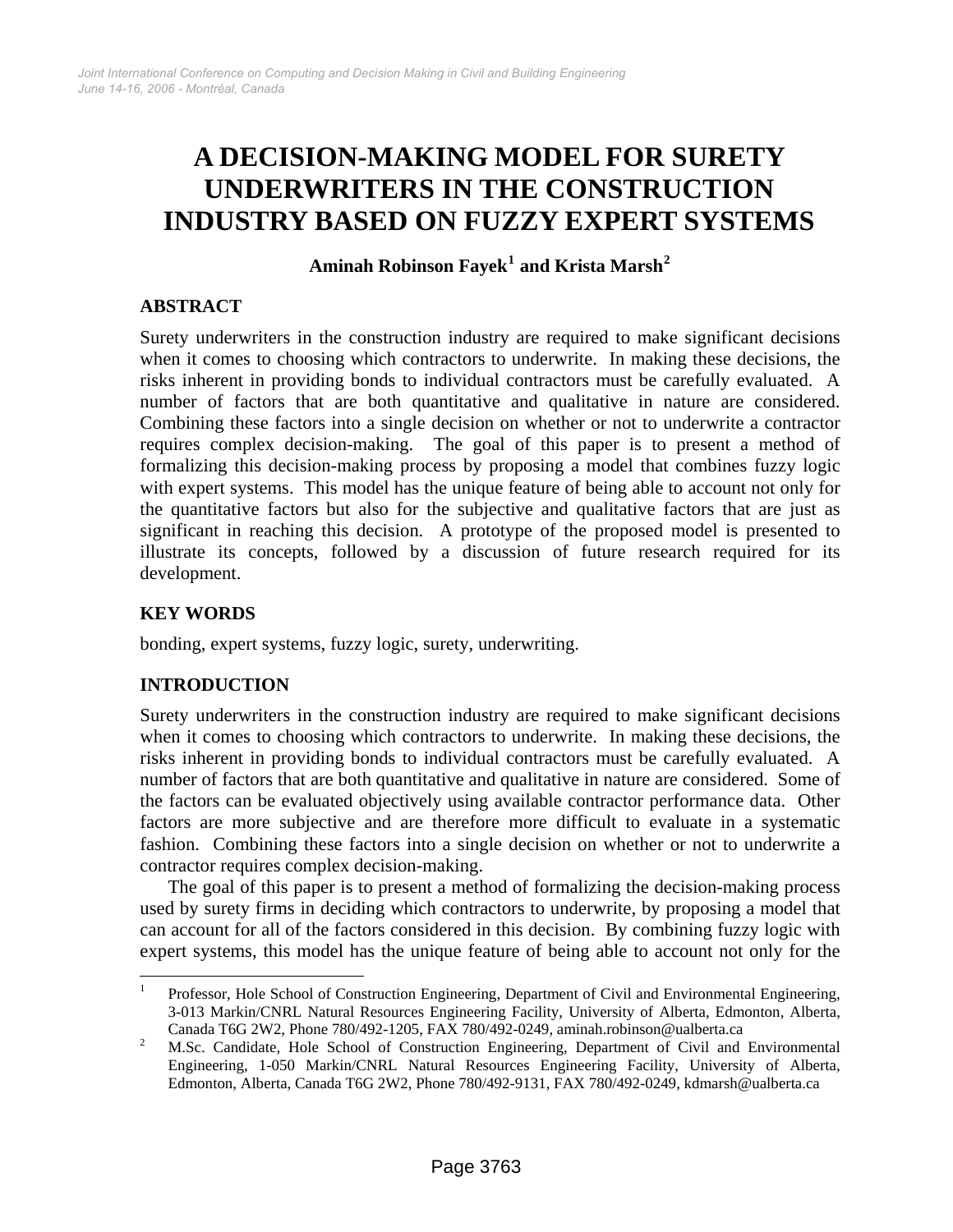# **A DECISION-MAKING MODEL FOR SURETY UNDERWRITERS IN THE CONSTRUCTION INDUSTRY BASED ON FUZZY EXPERT SYSTEMS**

# **Aminah Robinson Fayek[1](#page-0-0) and Krista Marsh[2](#page-0-1)**

#### **ABSTRACT**

Surety underwriters in the construction industry are required to make significant decisions when it comes to choosing which contractors to underwrite. In making these decisions, the risks inherent in providing bonds to individual contractors must be carefully evaluated. A number of factors that are both quantitative and qualitative in nature are considered. Combining these factors into a single decision on whether or not to underwrite a contractor requires complex decision-making. The goal of this paper is to present a method of formalizing this decision-making process by proposing a model that combines fuzzy logic with expert systems. This model has the unique feature of being able to account not only for the quantitative factors but also for the subjective and qualitative factors that are just as significant in reaching this decision. A prototype of the proposed model is presented to illustrate its concepts, followed by a discussion of future research required for its development.

### **KEY WORDS**

 $\overline{a}$ 

bonding, expert systems, fuzzy logic, surety, underwriting.

# **INTRODUCTION**

Surety underwriters in the construction industry are required to make significant decisions when it comes to choosing which contractors to underwrite. In making these decisions, the risks inherent in providing bonds to individual contractors must be carefully evaluated. A number of factors that are both quantitative and qualitative in nature are considered. Some of the factors can be evaluated objectively using available contractor performance data. Other factors are more subjective and are therefore more difficult to evaluate in a systematic fashion. Combining these factors into a single decision on whether or not to underwrite a contractor requires complex decision-making.

The goal of this paper is to present a method of formalizing the decision-making process used by surety firms in deciding which contractors to underwrite, by proposing a model that can account for all of the factors considered in this decision. By combining fuzzy logic with expert systems, this model has the unique feature of being able to account not only for the

<span id="page-0-0"></span><sup>&</sup>lt;sup>1</sup> Professor, Hole School of Construction Engineering, Department of Civil and Environmental Engineering, 3-013 Markin/CNRL Natural Resources Engineering Facility, University of Alberta, Edmonton, Alberta,

<span id="page-0-1"></span>Canada T6G 2W2, Phone 780/492-1205, FAX 780/492-0249, [aminah.robinson@ualberta.ca](mailto:aminah.robinson@ualberta.ca) 2 M.Sc. Candidate, Hole School of Construction Engineering, Department of Civil and Environmental Engineering, 1-050 Markin/CNRL Natural Resources Engineering Facility, University of Alberta, Edmonton, Alberta, Canada T6G 2W2, Phone 780/492-9131, FAX 780/492-0249, kdmarsh@ualberta.ca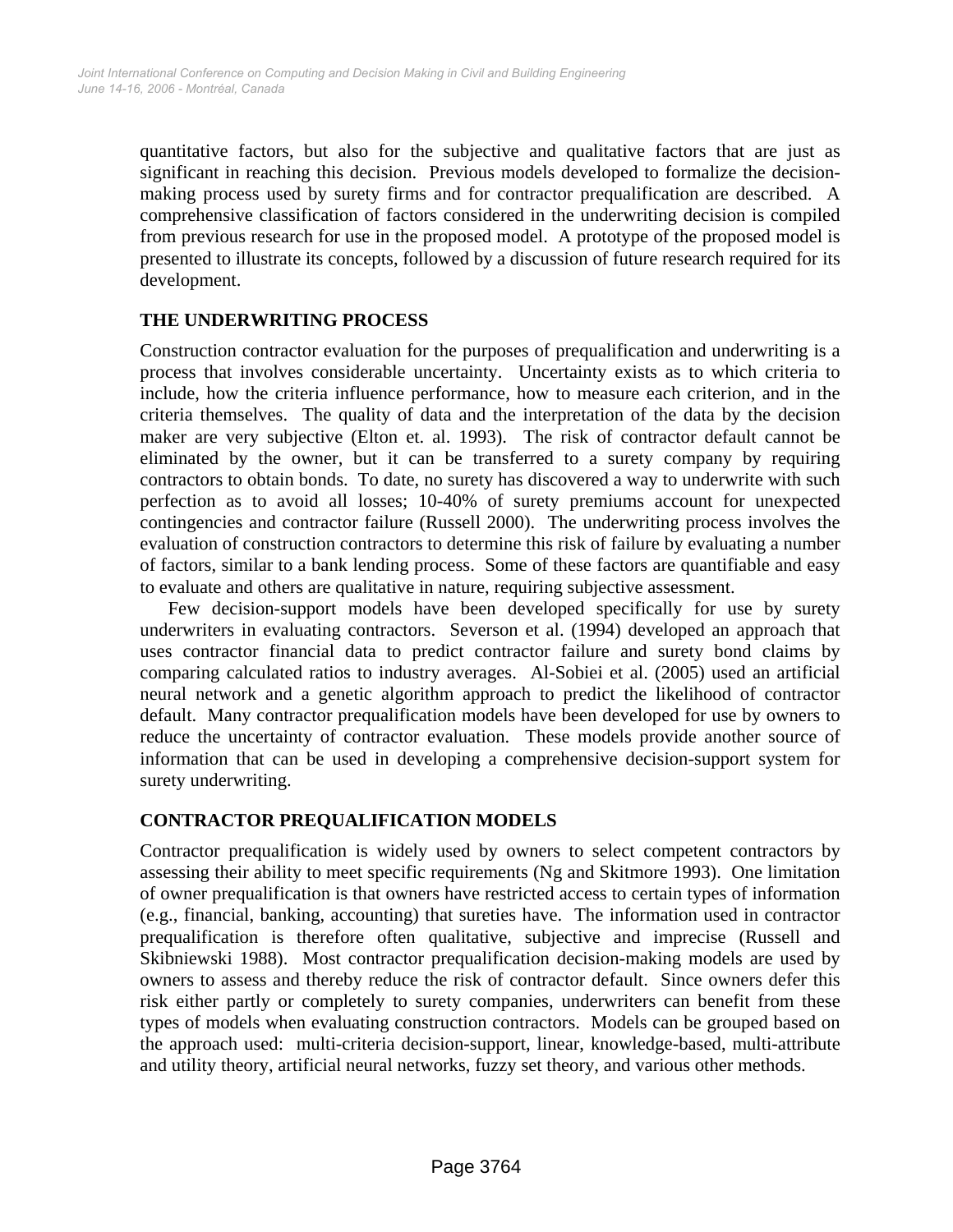quantitative factors, but also for the subjective and qualitative factors that are just as significant in reaching this decision. Previous models developed to formalize the decisionmaking process used by surety firms and for contractor prequalification are described. A comprehensive classification of factors considered in the underwriting decision is compiled from previous research for use in the proposed model. A prototype of the proposed model is presented to illustrate its concepts, followed by a discussion of future research required for its development.

# **THE UNDERWRITING PROCESS**

Construction contractor evaluation for the purposes of prequalification and underwriting is a process that involves considerable uncertainty. Uncertainty exists as to which criteria to include, how the criteria influence performance, how to measure each criterion, and in the criteria themselves. The quality of data and the interpretation of the data by the decision maker are very subjective (Elton et. al. 1993). The risk of contractor default cannot be eliminated by the owner, but it can be transferred to a surety company by requiring contractors to obtain bonds. To date, no surety has discovered a way to underwrite with such perfection as to avoid all losses; 10-40% of surety premiums account for unexpected contingencies and contractor failure (Russell 2000). The underwriting process involves the evaluation of construction contractors to determine this risk of failure by evaluating a number of factors, similar to a bank lending process. Some of these factors are quantifiable and easy to evaluate and others are qualitative in nature, requiring subjective assessment.

Few decision-support models have been developed specifically for use by surety underwriters in evaluating contractors. Severson et al. (1994) developed an approach that uses contractor financial data to predict contractor failure and surety bond claims by comparing calculated ratios to industry averages. Al-Sobiei et al. (2005) used an artificial neural network and a genetic algorithm approach to predict the likelihood of contractor default. Many contractor prequalification models have been developed for use by owners to reduce the uncertainty of contractor evaluation. These models provide another source of information that can be used in developing a comprehensive decision-support system for surety underwriting.

#### **CONTRACTOR PREQUALIFICATION MODELS**

Contractor prequalification is widely used by owners to select competent contractors by assessing their ability to meet specific requirements (Ng and Skitmore 1993). One limitation of owner prequalification is that owners have restricted access to certain types of information (e.g., financial, banking, accounting) that sureties have. The information used in contractor prequalification is therefore often qualitative, subjective and imprecise (Russell and Skibniewski 1988). Most contractor prequalification decision-making models are used by owners to assess and thereby reduce the risk of contractor default. Since owners defer this risk either partly or completely to surety companies, underwriters can benefit from these types of models when evaluating construction contractors. Models can be grouped based on the approach used: multi-criteria decision-support, linear, knowledge-based, multi-attribute and utility theory, artificial neural networks, fuzzy set theory, and various other methods.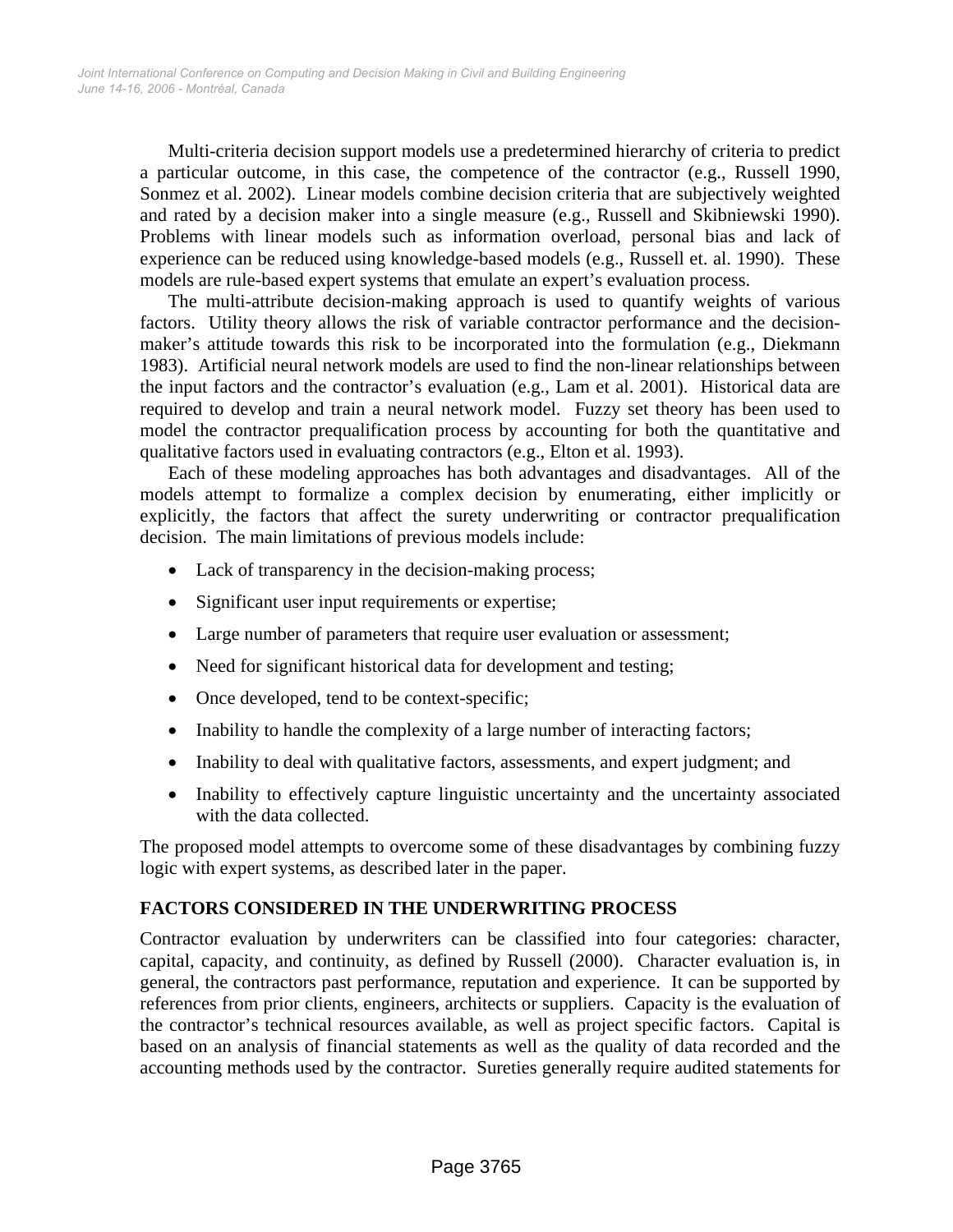Multi-criteria decision support models use a predetermined hierarchy of criteria to predict a particular outcome, in this case, the competence of the contractor (e.g., Russell 1990, Sonmez et al. 2002). Linear models combine decision criteria that are subjectively weighted and rated by a decision maker into a single measure (e.g., Russell and Skibniewski 1990). Problems with linear models such as information overload, personal bias and lack of experience can be reduced using knowledge-based models (e.g., Russell et. al. 1990). These models are rule-based expert systems that emulate an expert's evaluation process.

The multi-attribute decision-making approach is used to quantify weights of various factors. Utility theory allows the risk of variable contractor performance and the decisionmaker's attitude towards this risk to be incorporated into the formulation (e.g., Diekmann 1983). Artificial neural network models are used to find the non-linear relationships between the input factors and the contractor's evaluation (e.g., Lam et al. 2001). Historical data are required to develop and train a neural network model. Fuzzy set theory has been used to model the contractor prequalification process by accounting for both the quantitative and qualitative factors used in evaluating contractors (e.g., Elton et al. 1993).

Each of these modeling approaches has both advantages and disadvantages. All of the models attempt to formalize a complex decision by enumerating, either implicitly or explicitly, the factors that affect the surety underwriting or contractor prequalification decision. The main limitations of previous models include:

- Lack of transparency in the decision-making process;
- Significant user input requirements or expertise;
- Large number of parameters that require user evaluation or assessment;
- Need for significant historical data for development and testing;
- Once developed, tend to be context-specific;
- Inability to handle the complexity of a large number of interacting factors;
- Inability to deal with qualitative factors, assessments, and expert judgment; and
- Inability to effectively capture linguistic uncertainty and the uncertainty associated with the data collected.

The proposed model attempts to overcome some of these disadvantages by combining fuzzy logic with expert systems, as described later in the paper.

#### **FACTORS CONSIDERED IN THE UNDERWRITING PROCESS**

Contractor evaluation by underwriters can be classified into four categories: character, capital, capacity, and continuity, as defined by Russell (2000). Character evaluation is, in general, the contractors past performance, reputation and experience. It can be supported by references from prior clients, engineers, architects or suppliers. Capacity is the evaluation of the contractor's technical resources available, as well as project specific factors. Capital is based on an analysis of financial statements as well as the quality of data recorded and the accounting methods used by the contractor. Sureties generally require audited statements for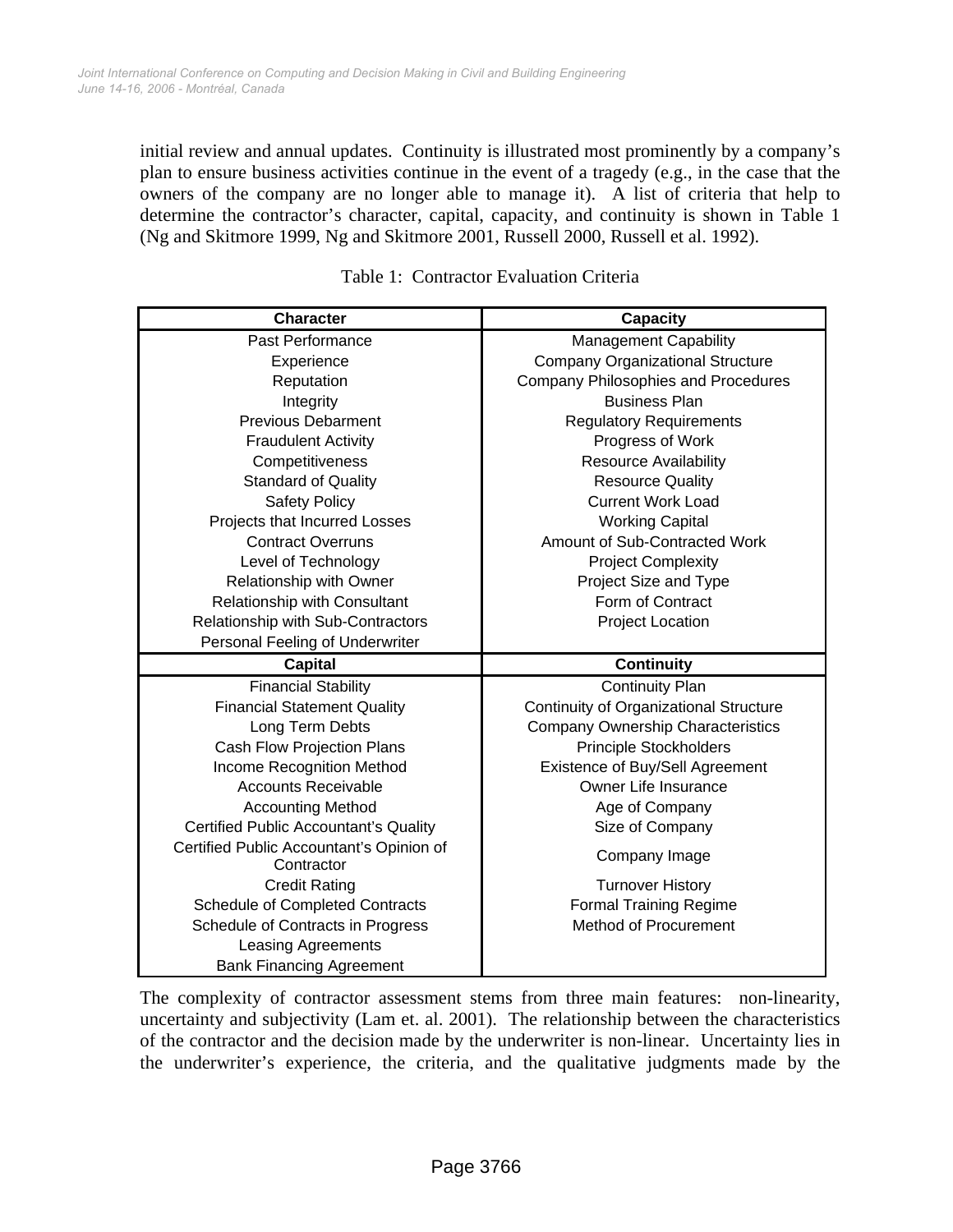initial review and annual updates. Continuity is illustrated most prominently by a company's plan to ensure business activities continue in the event of a tragedy (e.g., in the case that the owners of the company are no longer able to manage it). A list of criteria that help to determine the contractor's character, capital, capacity, and continuity is shown in Table 1 (Ng and Skitmore 1999, Ng and Skitmore 2001, Russell 2000, Russell et al. 1992).

| <b>Character</b>                             | <b>Capacity</b>                            |  |  |
|----------------------------------------------|--------------------------------------------|--|--|
| Past Performance                             | <b>Management Capability</b>               |  |  |
| Experience                                   | <b>Company Organizational Structure</b>    |  |  |
| Reputation                                   | <b>Company Philosophies and Procedures</b> |  |  |
| Integrity                                    | <b>Business Plan</b>                       |  |  |
| <b>Previous Debarment</b>                    | <b>Regulatory Requirements</b>             |  |  |
| <b>Fraudulent Activity</b>                   | Progress of Work                           |  |  |
| Competitiveness                              | <b>Resource Availability</b>               |  |  |
| <b>Standard of Quality</b>                   | <b>Resource Quality</b>                    |  |  |
| <b>Safety Policy</b>                         | <b>Current Work Load</b>                   |  |  |
| Projects that Incurred Losses                | <b>Working Capital</b>                     |  |  |
| <b>Contract Overruns</b>                     | Amount of Sub-Contracted Work              |  |  |
| Level of Technology                          | <b>Project Complexity</b>                  |  |  |
| Relationship with Owner                      | Project Size and Type                      |  |  |
| Relationship with Consultant                 | Form of Contract                           |  |  |
| Relationship with Sub-Contractors            | <b>Project Location</b>                    |  |  |
| Personal Feeling of Underwriter              |                                            |  |  |
| <b>Capital</b>                               | <b>Continuity</b>                          |  |  |
| <b>Financial Stability</b>                   | <b>Continuity Plan</b>                     |  |  |
| <b>Financial Statement Quality</b>           | Continuity of Organizational Structure     |  |  |
| Long Term Debts                              | <b>Company Ownership Characteristics</b>   |  |  |
| Cash Flow Projection Plans                   | <b>Principle Stockholders</b>              |  |  |
| Income Recognition Method                    | Existence of Buy/Sell Agreement            |  |  |
| <b>Accounts Receivable</b>                   | Owner Life Insurance                       |  |  |
| <b>Accounting Method</b>                     | Age of Company                             |  |  |
| <b>Certified Public Accountant's Quality</b> | Size of Company                            |  |  |
| Certified Public Accountant's Opinion of     | Company Image                              |  |  |
| Contractor                                   |                                            |  |  |
| <b>Credit Rating</b>                         | <b>Turnover History</b>                    |  |  |
| <b>Schedule of Completed Contracts</b>       | <b>Formal Training Regime</b>              |  |  |
| Schedule of Contracts in Progress            | <b>Method of Procurement</b>               |  |  |
| <b>Leasing Agreements</b>                    |                                            |  |  |
| <b>Bank Financing Agreement</b>              |                                            |  |  |

Table 1: Contractor Evaluation Criteria

The complexity of contractor assessment stems from three main features: non-linearity, uncertainty and subjectivity (Lam et. al. 2001). The relationship between the characteristics of the contractor and the decision made by the underwriter is non-linear. Uncertainty lies in the underwriter's experience, the criteria, and the qualitative judgments made by the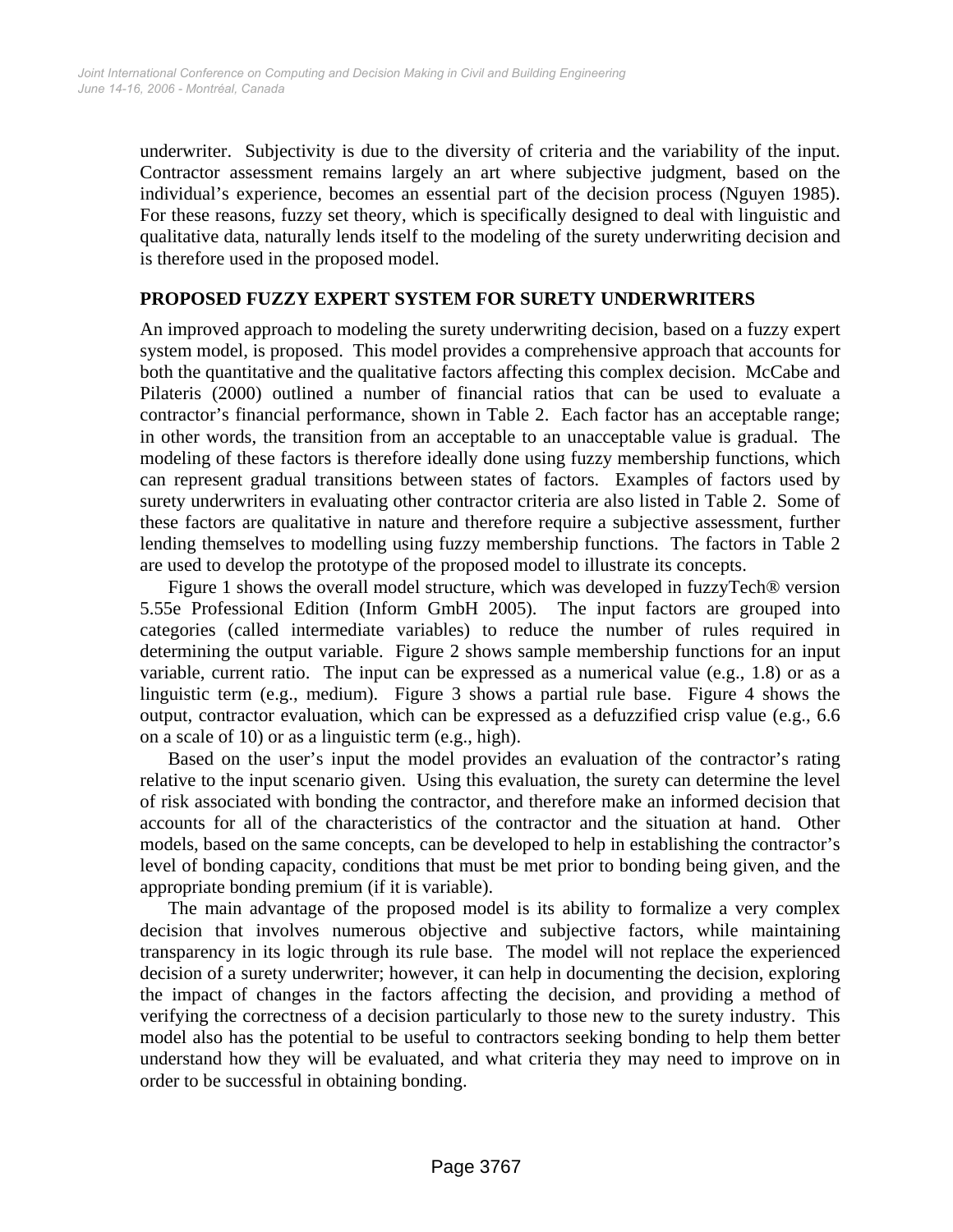underwriter. Subjectivity is due to the diversity of criteria and the variability of the input. Contractor assessment remains largely an art where subjective judgment, based on the individual's experience, becomes an essential part of the decision process (Nguyen 1985). For these reasons, fuzzy set theory, which is specifically designed to deal with linguistic and qualitative data, naturally lends itself to the modeling of the surety underwriting decision and is therefore used in the proposed model.

#### **PROPOSED FUZZY EXPERT SYSTEM FOR SURETY UNDERWRITERS**

An improved approach to modeling the surety underwriting decision, based on a fuzzy expert system model, is proposed. This model provides a comprehensive approach that accounts for both the quantitative and the qualitative factors affecting this complex decision. McCabe and Pilateris (2000) outlined a number of financial ratios that can be used to evaluate a contractor's financial performance, shown in Table 2. Each factor has an acceptable range; in other words, the transition from an acceptable to an unacceptable value is gradual. The modeling of these factors is therefore ideally done using fuzzy membership functions, which can represent gradual transitions between states of factors. Examples of factors used by surety underwriters in evaluating other contractor criteria are also listed in Table 2. Some of these factors are qualitative in nature and therefore require a subjective assessment, further lending themselves to modelling using fuzzy membership functions. The factors in Table 2 are used to develop the prototype of the proposed model to illustrate its concepts.

Figure 1 shows the overall model structure, which was developed in fuzzyTech® version 5.55e Professional Edition (Inform GmbH 2005). The input factors are grouped into categories (called intermediate variables) to reduce the number of rules required in determining the output variable. Figure 2 shows sample membership functions for an input variable, current ratio. The input can be expressed as a numerical value (e.g., 1.8) or as a linguistic term (e.g., medium). Figure 3 shows a partial rule base. Figure 4 shows the output, contractor evaluation, which can be expressed as a defuzzified crisp value (e.g., 6.6 on a scale of 10) or as a linguistic term (e.g., high).

Based on the user's input the model provides an evaluation of the contractor's rating relative to the input scenario given. Using this evaluation, the surety can determine the level of risk associated with bonding the contractor, and therefore make an informed decision that accounts for all of the characteristics of the contractor and the situation at hand. Other models, based on the same concepts, can be developed to help in establishing the contractor's level of bonding capacity, conditions that must be met prior to bonding being given, and the appropriate bonding premium (if it is variable).

The main advantage of the proposed model is its ability to formalize a very complex decision that involves numerous objective and subjective factors, while maintaining transparency in its logic through its rule base. The model will not replace the experienced decision of a surety underwriter; however, it can help in documenting the decision, exploring the impact of changes in the factors affecting the decision, and providing a method of verifying the correctness of a decision particularly to those new to the surety industry. This model also has the potential to be useful to contractors seeking bonding to help them better understand how they will be evaluated, and what criteria they may need to improve on in order to be successful in obtaining bonding.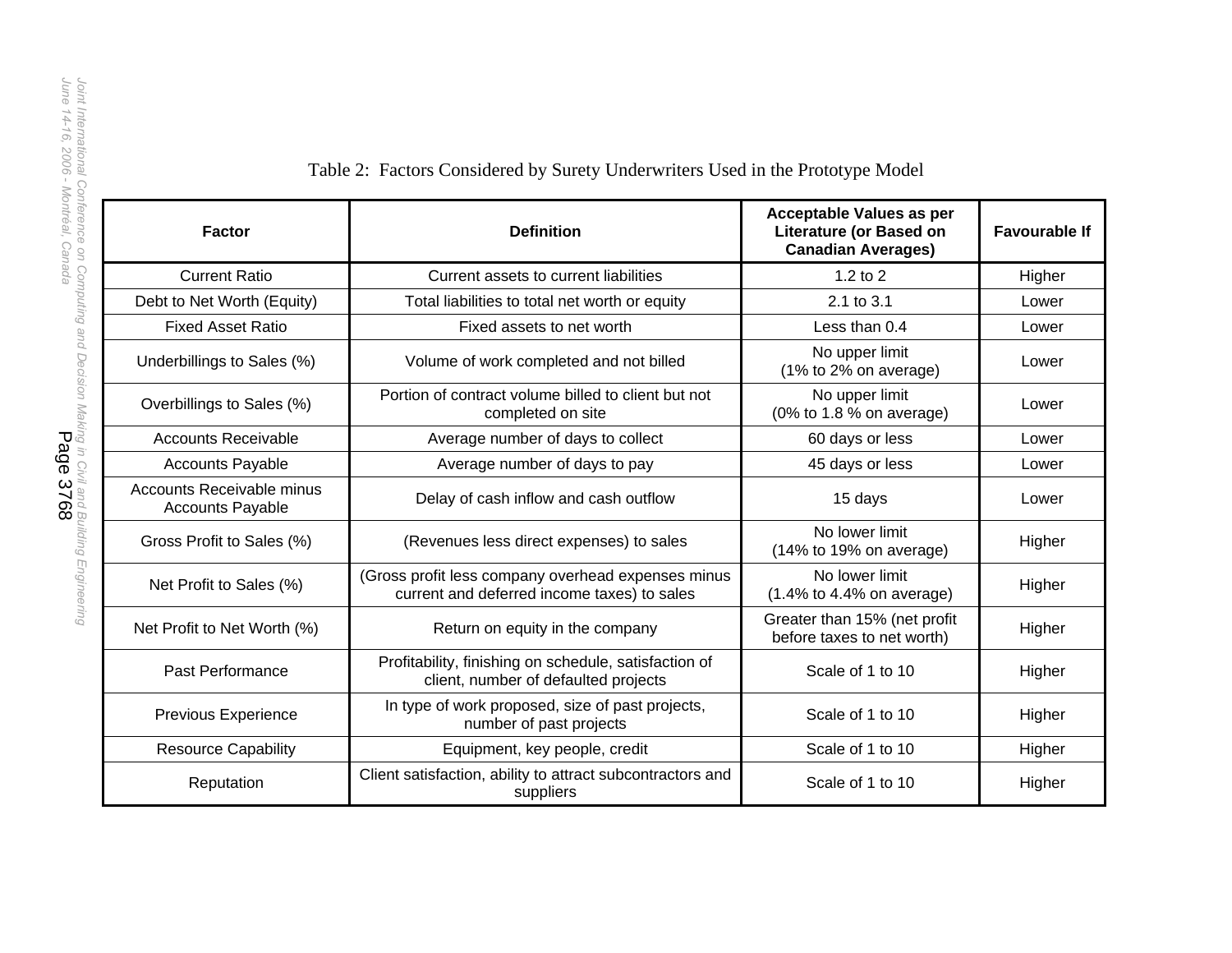| <b>Factor</b>                                        | <b>Definition</b>                                                                                 | Acceptable Values as per<br><b>Literature (or Based on</b><br><b>Canadian Averages)</b> | <b>Favourable If</b> |
|------------------------------------------------------|---------------------------------------------------------------------------------------------------|-----------------------------------------------------------------------------------------|----------------------|
| <b>Current Ratio</b>                                 | Current assets to current liabilities                                                             | $1.2$ to $2$                                                                            | Higher               |
| Debt to Net Worth (Equity)                           | Total liabilities to total net worth or equity                                                    | 2.1 to 3.1                                                                              | Lower                |
| <b>Fixed Asset Ratio</b>                             | Fixed assets to net worth                                                                         | Less than 0.4                                                                           | Lower                |
| Underbillings to Sales (%)                           | Volume of work completed and not billed                                                           | No upper limit<br>(1% to 2% on average)                                                 | Lower                |
| Overbillings to Sales (%)                            | Portion of contract volume billed to client but not<br>completed on site                          | No upper limit<br>(0% to 1.8 % on average)                                              | Lower                |
| <b>Accounts Receivable</b>                           | Average number of days to collect                                                                 | 60 days or less                                                                         |                      |
| <b>Accounts Payable</b>                              | Average number of days to pay                                                                     | 45 days or less                                                                         |                      |
| Accounts Receivable minus<br><b>Accounts Payable</b> | Delay of cash inflow and cash outflow                                                             | 15 days                                                                                 | Lower                |
| Gross Profit to Sales (%)                            | (Revenues less direct expenses) to sales                                                          | No lower limit<br>(14% to 19% on average)                                               | Higher               |
| Net Profit to Sales (%)                              | (Gross profit less company overhead expenses minus<br>current and deferred income taxes) to sales | No lower limit<br>$(1.4\%$ to 4.4% on average)                                          | Higher               |
| Net Profit to Net Worth (%)                          | Return on equity in the company                                                                   | Greater than 15% (net profit<br>before taxes to net worth)                              | Higher               |
| Past Performance                                     | Profitability, finishing on schedule, satisfaction of<br>client, number of defaulted projects     | Scale of 1 to 10                                                                        |                      |
| Previous Experience                                  | In type of work proposed, size of past projects,<br>number of past projects                       | Scale of 1 to 10                                                                        |                      |
| <b>Resource Capability</b>                           | Equipment, key people, credit                                                                     | Scale of 1 to 10                                                                        | Higher               |
| Reputation                                           | Client satisfaction, ability to attract subcontractors and<br>suppliers                           |                                                                                         | Higher               |

# Table 2: Factors Considered by Surety Underwriters Used in the Prototype Model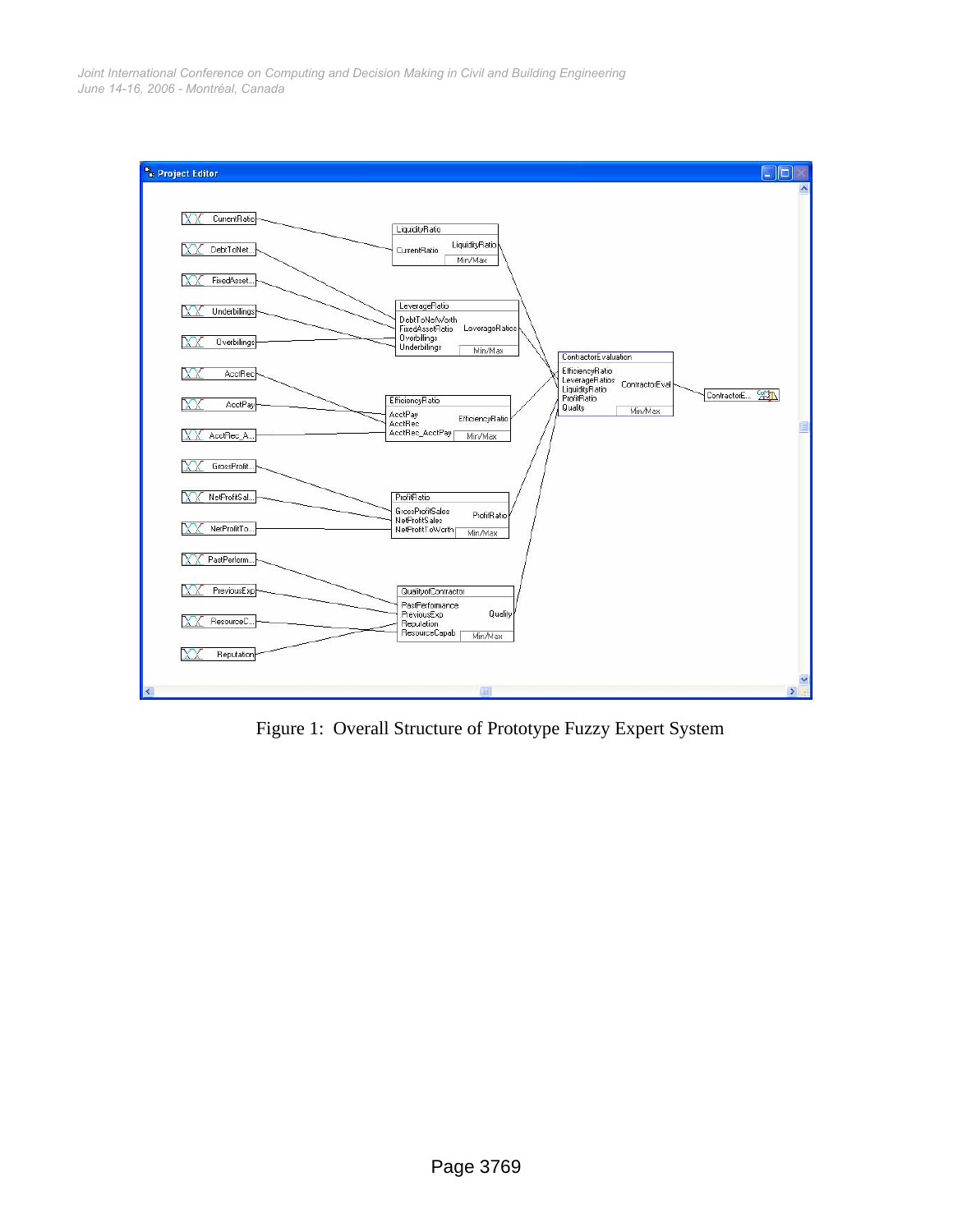*June 14-16, 2006 - Montréal, Canada Joint International Conference on Computing and Decision Making in Civil and Building Engineering*



Figure 1: Overall Structure of Prototype Fuzzy Expert System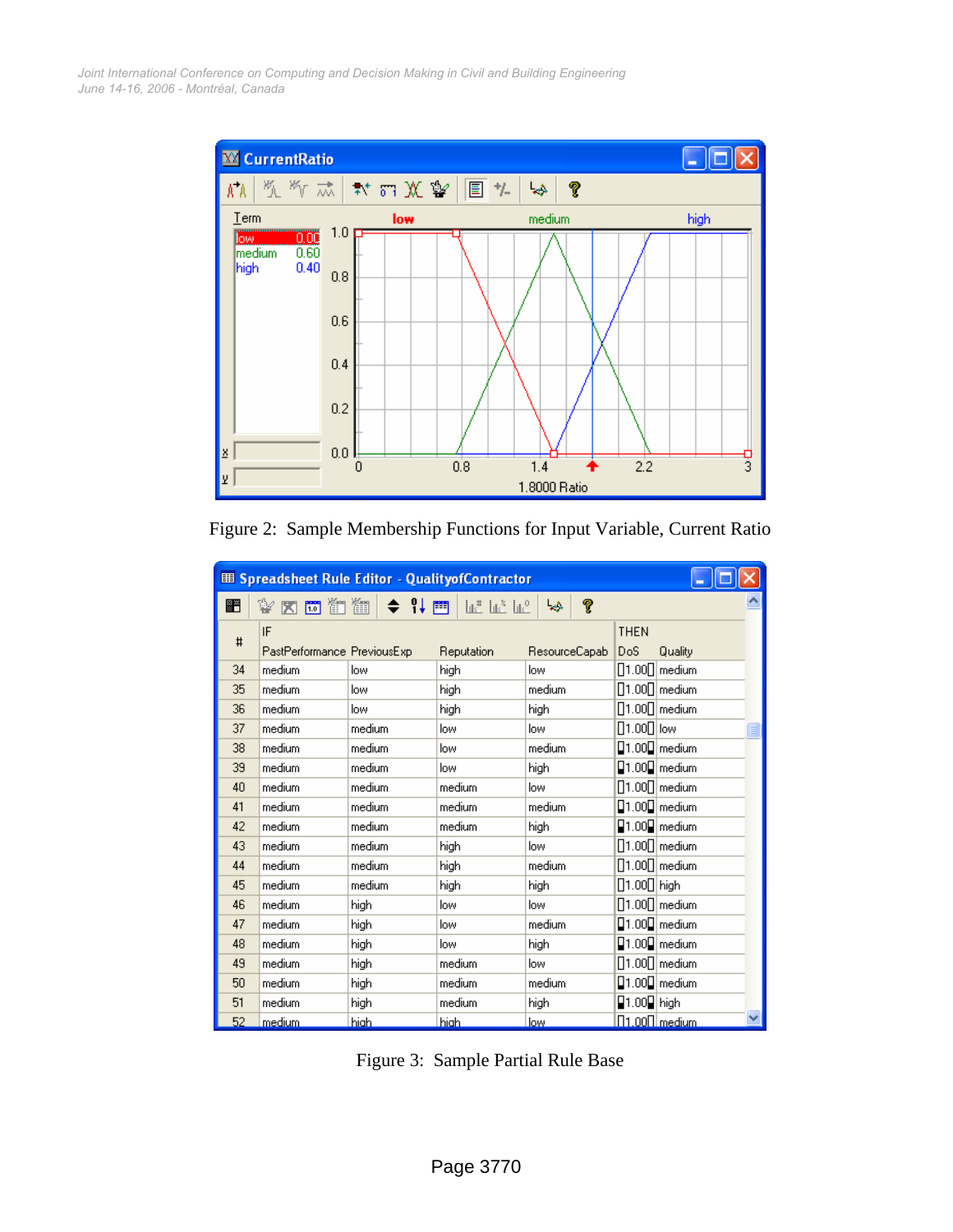*June 14-16, 2006 - Montréal, Canada Joint International Conference on Computing and Decision Making in Civil and Building Engineering*



Figure 2: Sample Membership Functions for Input Variable, Current Ratio

| E Spreadsheet Rule Editor - QualityofContractor |                                             |        |            |               |                                           |  |  |  |
|-------------------------------------------------|---------------------------------------------|--------|------------|---------------|-------------------------------------------|--|--|--|
| ▩                                               | ¥ K 5 6 11 11 12 11 11 12 11 12 11 12 12 12 |        |            | P<br>چپا      |                                           |  |  |  |
| #                                               | IF                                          |        |            |               | <b>THEN</b>                               |  |  |  |
|                                                 | PastPerformance PreviousExp                 |        | Reputation | ResourceCapab | DoS<br>Quality                            |  |  |  |
| 34                                              | medium                                      | low    | high       | low           | $\left[\right]1.00\right[\right]$ medium  |  |  |  |
| 35                                              | medium                                      | low    | high       | medium        | $\left[\right]1.00\right]$ medium         |  |  |  |
| 36                                              | medium                                      | low    | high       | high          | $\left[\right]1.00\right[\right]$ medium  |  |  |  |
| 37                                              | medium                                      | medium | low        | low           | $[]1.00[]$ low                            |  |  |  |
| 38                                              | medium                                      | medium | low        | medium        | $\Box$ 1.00 $\Box$ medium                 |  |  |  |
| 39                                              | medium                                      | medium | low        | high          | $\Box$ 1.00 $\Box$ medium                 |  |  |  |
| 40                                              | medium                                      | medium | medium     | low           | $\left[\right]1.00\right]$ medium         |  |  |  |
| 41                                              | medium                                      | medium | medium     | medium        | $\Box$ 1.00 $\Box$ medium                 |  |  |  |
| 42                                              | medium                                      | medium | medium     | high          | $\Box$ 1.00 $\Box$ medium                 |  |  |  |
| 43                                              | medium                                      | medium | high       | low           | $\left[\right]1.00\right]$ medium         |  |  |  |
| 44                                              | medium                                      | medium | high       | medium        | $\left[\right]1.00\right]$ medium         |  |  |  |
| 45                                              | medium                                      | medium | high       | high          | [1.00] high                               |  |  |  |
| 46                                              | medium                                      | high   | low        | low           | $\left[\right]1.00\right]$ medium         |  |  |  |
| 47                                              | medium                                      | high   | low        | medium        | $\Box$ 1.00 $\Box$ medium                 |  |  |  |
| 48                                              | medium                                      | high   | low        | high          | $\Box$ 1.00 $\Box$ medium                 |  |  |  |
| 49                                              | medium                                      | high   | medium     | low           | $\left[\right]1.00\right]$ medium         |  |  |  |
| 50                                              | medium                                      | high   | medium     | medium        | $\Box$ 1.00 $\Box$ medium                 |  |  |  |
| 51                                              | medium                                      | high   | medium     | high          | $\blacksquare$ 1.00 $\blacksquare$   high |  |  |  |
| 52                                              | <u>medium</u>                               | high.  | high.      | low.          | <u>∏1.00∏ medium</u>                      |  |  |  |

Figure 3: Sample Partial Rule Base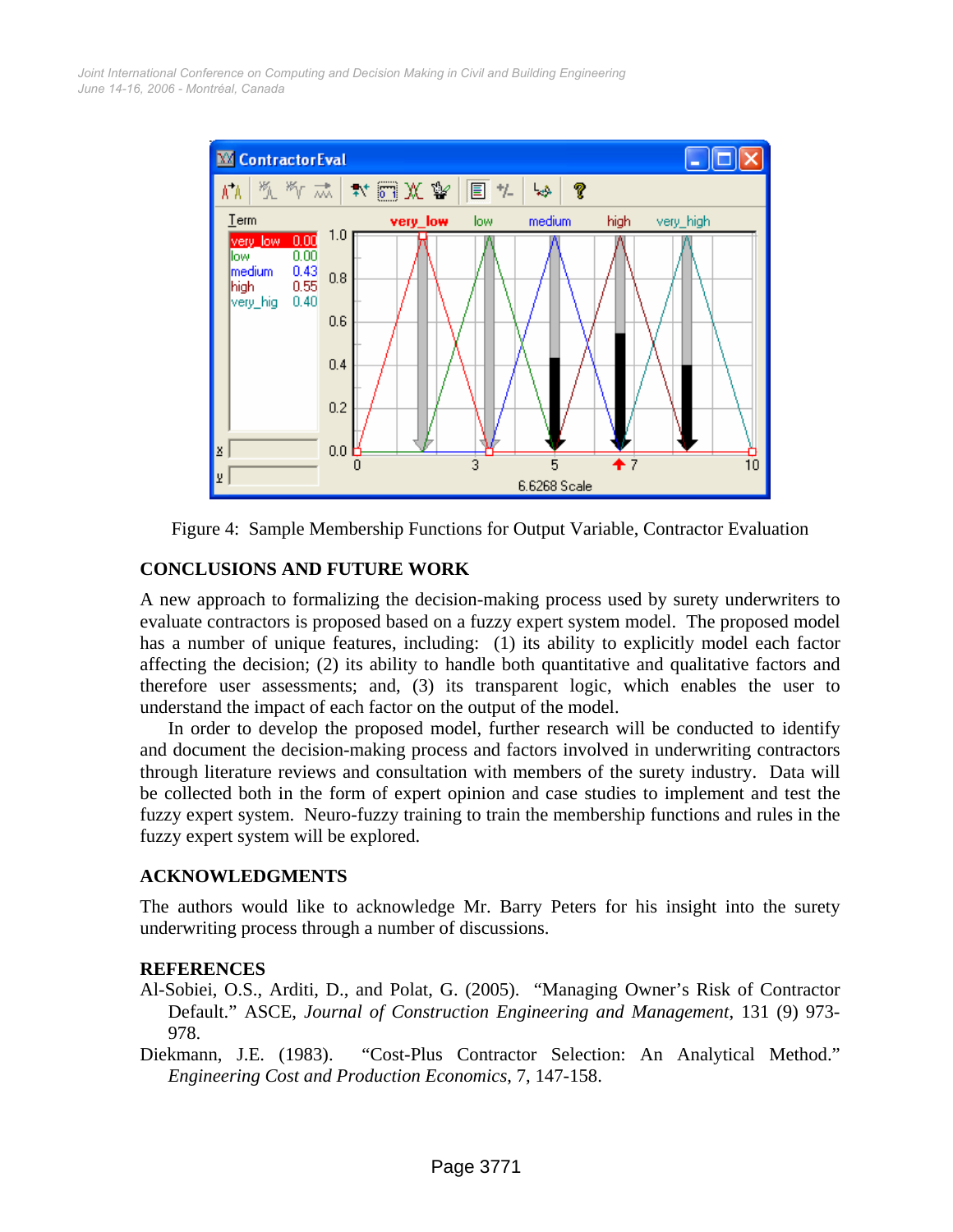*June 14-16, 2006 - Montréal, Canada Joint International Conference on Computing and Decision Making in Civil and Building Engineering*





#### **CONCLUSIONS AND FUTURE WORK**

A new approach to formalizing the decision-making process used by surety underwriters to evaluate contractors is proposed based on a fuzzy expert system model. The proposed model has a number of unique features, including: (1) its ability to explicitly model each factor affecting the decision; (2) its ability to handle both quantitative and qualitative factors and therefore user assessments; and, (3) its transparent logic, which enables the user to understand the impact of each factor on the output of the model.

In order to develop the proposed model, further research will be conducted to identify and document the decision-making process and factors involved in underwriting contractors through literature reviews and consultation with members of the surety industry. Data will be collected both in the form of expert opinion and case studies to implement and test the fuzzy expert system. Neuro-fuzzy training to train the membership functions and rules in the fuzzy expert system will be explored.

#### **ACKNOWLEDGMENTS**

The authors would like to acknowledge Mr. Barry Peters for his insight into the surety underwriting process through a number of discussions.

#### **REFERENCES**

- Al-Sobiei, O.S., Arditi, D., and Polat, G. (2005). "Managing Owner's Risk of Contractor Default." ASCE, *Journal of Construction Engineering and Management*, 131 (9) 973- 978.
- Diekmann, J.E. (1983). "Cost-Plus Contractor Selection: An Analytical Method." *Engineering Cost and Production Economics*, 7, 147-158.